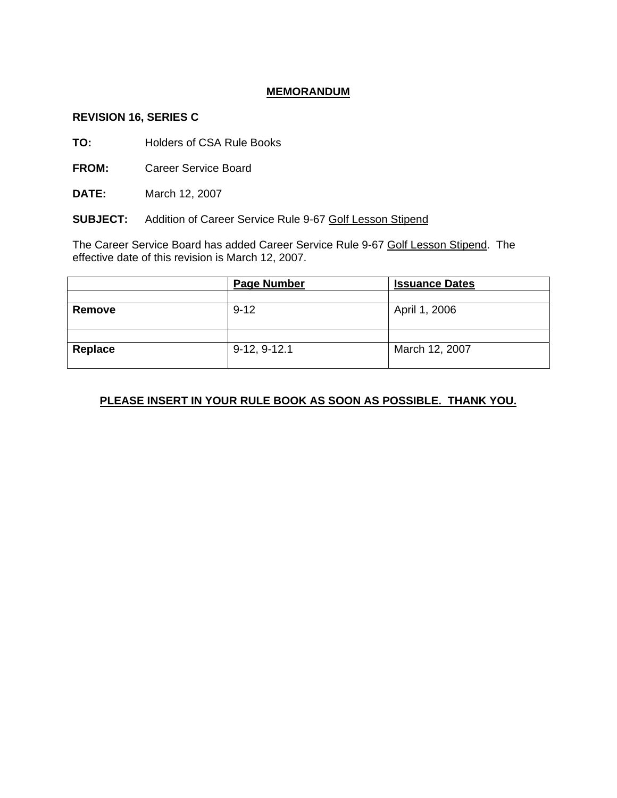# **MEMORANDUM**

#### **REVISION 16, SERIES C**

**TO:** Holders of CSA Rule Books

**FROM:** Career Service Board

**DATE:** March 12, 2007

**SUBJECT:** Addition of Career Service Rule 9-67 Golf Lesson Stipend

The Career Service Board has added Career Service Rule 9-67 Golf Lesson Stipend. The effective date of this revision is March 12, 2007.

|         | <b>Page Number</b> | <b>Issuance Dates</b> |
|---------|--------------------|-----------------------|
|         |                    |                       |
| Remove  | $9 - 12$           | April 1, 2006         |
|         |                    |                       |
|         |                    |                       |
| Replace | $9-12, 9-12.1$     | March 12, 2007        |
|         |                    |                       |

# **PLEASE INSERT IN YOUR RULE BOOK AS SOON AS POSSIBLE. THANK YOU.**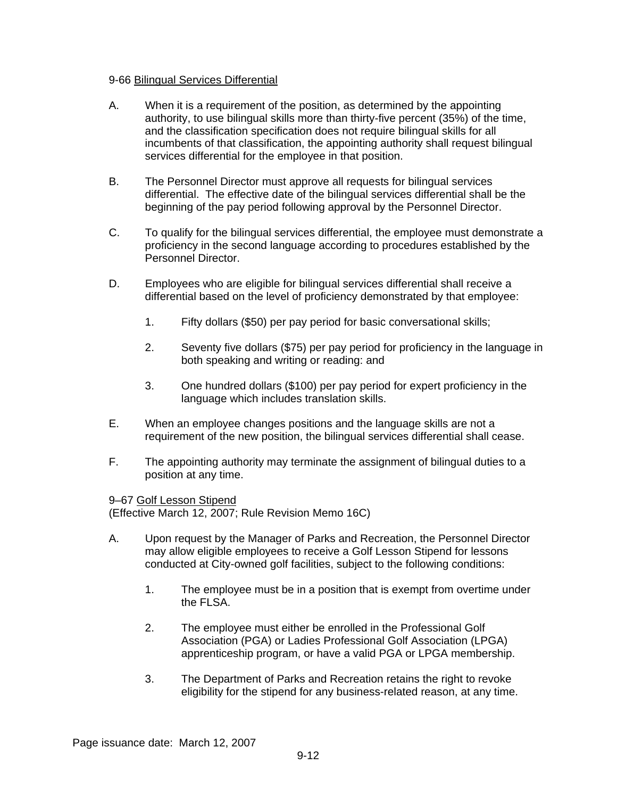## 9-66 Bilingual Services Differential

- A. When it is a requirement of the position, as determined by the appointing authority, to use bilingual skills more than thirty-five percent (35%) of the time, and the classification specification does not require bilingual skills for all incumbents of that classification, the appointing authority shall request bilingual services differential for the employee in that position.
- B. The Personnel Director must approve all requests for bilingual services differential. The effective date of the bilingual services differential shall be the beginning of the pay period following approval by the Personnel Director.
- C. To qualify for the bilingual services differential, the employee must demonstrate a proficiency in the second language according to procedures established by the Personnel Director.
- D. Employees who are eligible for bilingual services differential shall receive a differential based on the level of proficiency demonstrated by that employee:
	- 1. Fifty dollars (\$50) per pay period for basic conversational skills;
	- 2. Seventy five dollars (\$75) per pay period for proficiency in the language in both speaking and writing or reading: and
	- 3. One hundred dollars (\$100) per pay period for expert proficiency in the language which includes translation skills.
- E. When an employee changes positions and the language skills are not a requirement of the new position, the bilingual services differential shall cease.
- F. The appointing authority may terminate the assignment of bilingual duties to a position at any time.

9–67 Golf Lesson Stipend

(Effective March 12, 2007; Rule Revision Memo 16C)

- A. Upon request by the Manager of Parks and Recreation, the Personnel Director may allow eligible employees to receive a Golf Lesson Stipend for lessons conducted at City-owned golf facilities, subject to the following conditions:
	- 1. The employee must be in a position that is exempt from overtime under the FLSA.
	- 2. The employee must either be enrolled in the Professional Golf Association (PGA) or Ladies Professional Golf Association (LPGA) apprenticeship program, or have a valid PGA or LPGA membership.
	- 3. The Department of Parks and Recreation retains the right to revoke eligibility for the stipend for any business-related reason, at any time.